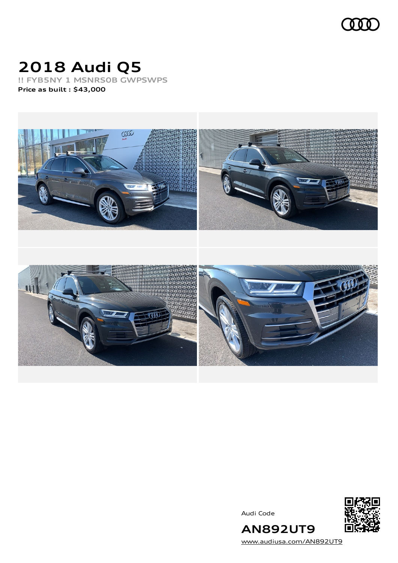

# **2018 Audi Q5**

**!! FYB5NY 1 MSNRS0B GWPSWPS Price as built [:](#page-6-0) \$43,000**



Audi Code



[www.audiusa.com/AN892UT9](https://www.audiusa.com/AN892UT9)

**AN892UT9**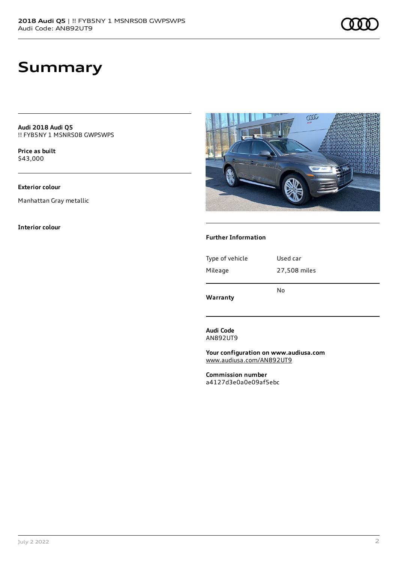**Audi 2018 Audi Q5** !! FYB5NY 1 MSNRS0B GWPSWPS

**Price as buil[t](#page-6-0)** \$43,000

#### **Exterior colour**

Manhattan Gray metallic

#### **Interior colour**



#### **Further Information**

| Warranty        | No           |
|-----------------|--------------|
| Mileage         | 27,508 miles |
| Type of vehicle | Used car     |
|                 |              |

**Audi Code** AN892UT9

**Your configuration on www.audiusa.com** [www.audiusa.com/AN892UT9](https://www.audiusa.com/AN892UT9)

**Commission number** a4127d3e0a0e09af5ebc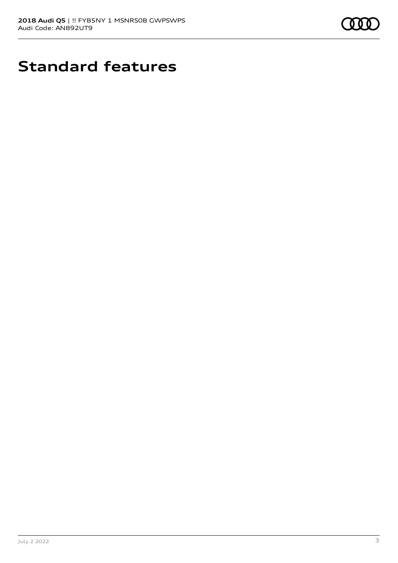

# **Standard features**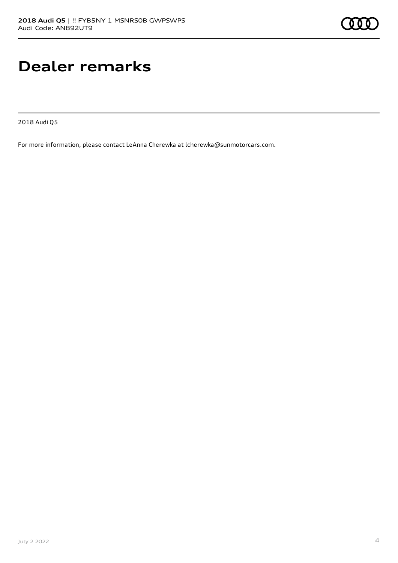## **Dealer remarks**

2018 Audi Q5

For more information, please contact LeAnna Cherewka at lcherewka@sunmotorcars.com.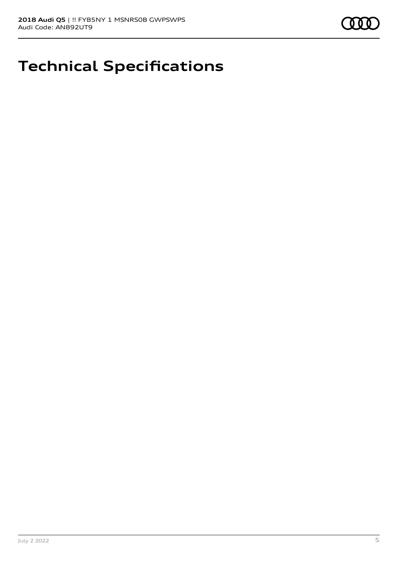## **Technical Specifications**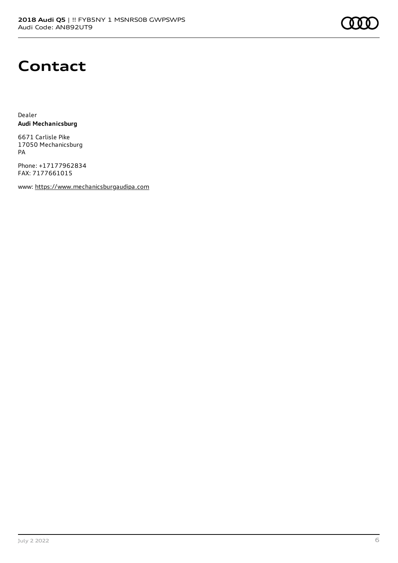### **Contact**

Dealer **Audi Mechanicsburg**

6671 Carlisle Pike 17050 Mechanicsburg PA

Phone: +17177962834 FAX: 7177661015

www: [https://www.mechanicsburgaudipa.com](https://www.mechanicsburgaudipa.com/)